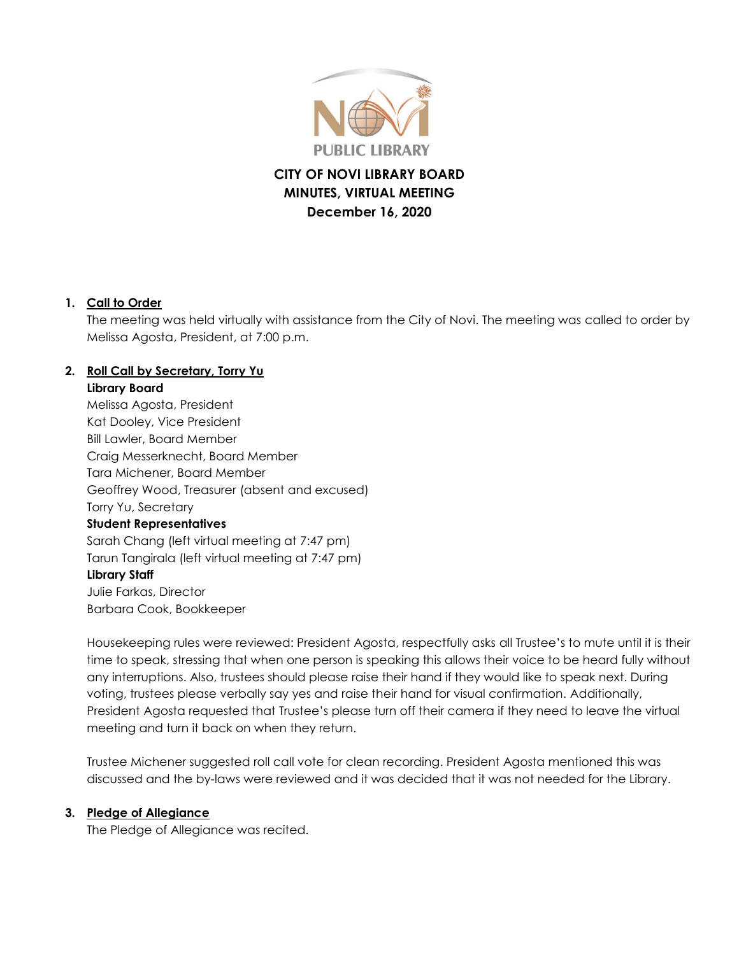

# **CITY OF NOVI LIBRARY BOARD MINUTES, VIRTUAL MEETING December 16, 2020**

#### **1. Call to Order**

The meeting was held virtually with assistance from the City of Novi. The meeting was called to order by Melissa Agosta, President, at 7:00 p.m.

# **2. Roll Call by Secretary, Torry Yu**

#### **Library Board**

Melissa Agosta, President Kat Dooley, Vice President Bill Lawler, Board Member Craig Messerknecht, Board Member Tara Michener, Board Member Geoffrey Wood, Treasurer (absent and excused) Torry Yu, Secretary **Student Representatives** Sarah Chang (left virtual meeting at 7:47 pm) Tarun Tangirala (left virtual meeting at 7:47 pm) **Library Staff** Julie Farkas, Director Barbara Cook, Bookkeeper

Housekeeping rules were reviewed: President Agosta, respectfully asks all Trustee's to mute until it is their time to speak, stressing that when one person is speaking this allows their voice to be heard fully without any interruptions. Also, trustees should please raise their hand if they would like to speak next. During voting, trustees please verbally say yes and raise their hand for visual confirmation. Additionally, President Agosta requested that Trustee's please turn off their camera if they need to leave the virtual meeting and turn it back on when they return.

Trustee Michener suggested roll call vote for clean recording. President Agosta mentioned this was discussed and the by-laws were reviewed and it was decided that it was not needed for the Library.

#### **3. Pledge of Allegiance**

The Pledge of Allegiance was recited.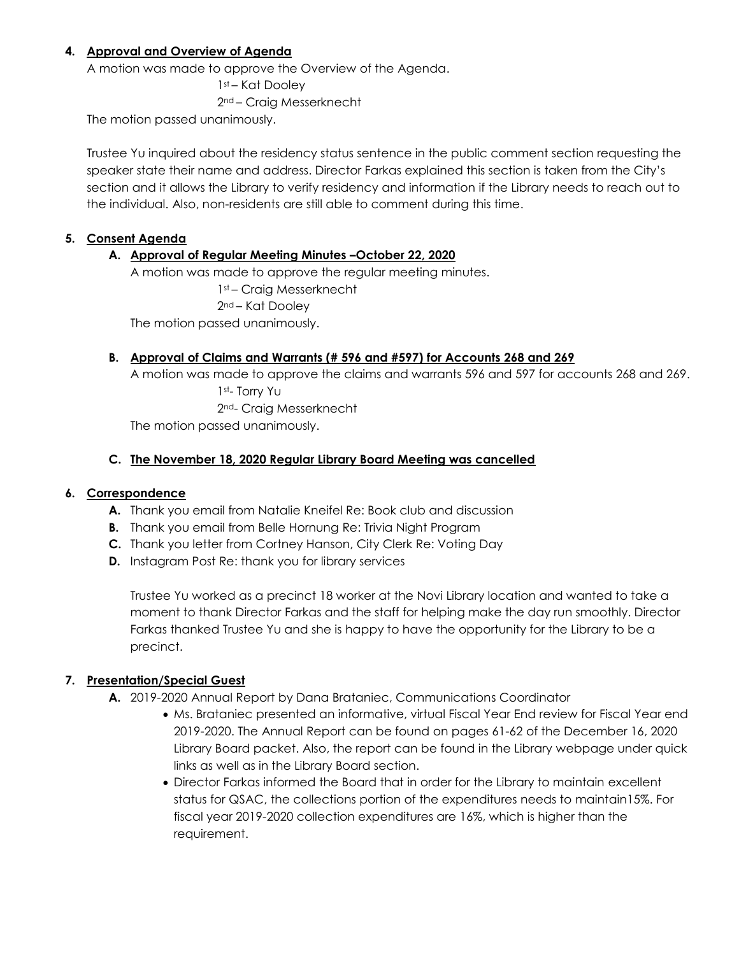#### **4. Approval and Overview of Agenda**

A motion was made to approve the Overview of the Agenda.

1st – Kat Dooley 2nd – Craig Messerknecht

The motion passed unanimously.

Trustee Yu inquired about the residency status sentence in the public comment section requesting the speaker state their name and address. Director Farkas explained this section is taken from the City's section and it allows the Library to verify residency and information if the Library needs to reach out to the individual. Also, non-residents are still able to comment during this time.

#### **5. Consent Agenda**

#### **A. Approval of Regular Meeting Minutes –October 22, 2020**

A motion was made to approve the regular meeting minutes. 1st – Craig Messerknecht 2nd – Kat Dooley The motion passed unanimously.

#### **B. Approval of Claims and Warrants (# 596 and #597) for Accounts 268 and 269**

A motion was made to approve the claims and warrants 596 and 597 for accounts 268 and 269. 1st- Torry Yu 2nd- Craig Messerknecht

The motion passed unanimously.

#### **C. The November 18, 2020 Regular Library Board Meeting was cancelled**

#### **6. Correspondence**

- **A.** Thank you email from Natalie Kneifel Re: Book club and discussion
- **B.** Thank you email from Belle Hornung Re: Trivia Night Program
- **C.** Thank you letter from Cortney Hanson, City Clerk Re: Voting Day
- **D.** Instagram Post Re: thank you for library services

Trustee Yu worked as a precinct 18 worker at the Novi Library location and wanted to take a moment to thank Director Farkas and the staff for helping make the day run smoothly. Director Farkas thanked Trustee Yu and she is happy to have the opportunity for the Library to be a precinct.

#### **7. Presentation/Special Guest**

- **A.** 2019-2020 Annual Report by Dana Brataniec, Communications Coordinator
	- Ms. Brataniec presented an informative, virtual Fiscal Year End review for Fiscal Year end 2019-2020. The Annual Report can be found on pages 61-62 of the December 16, 2020 Library Board packet. Also, the report can be found in the Library webpage under quick links as well as in the Library Board section.
	- Director Farkas informed the Board that in order for the Library to maintain excellent status for QSAC, the collections portion of the expenditures needs to maintain15%. For fiscal year 2019-2020 collection expenditures are 16%, which is higher than the requirement.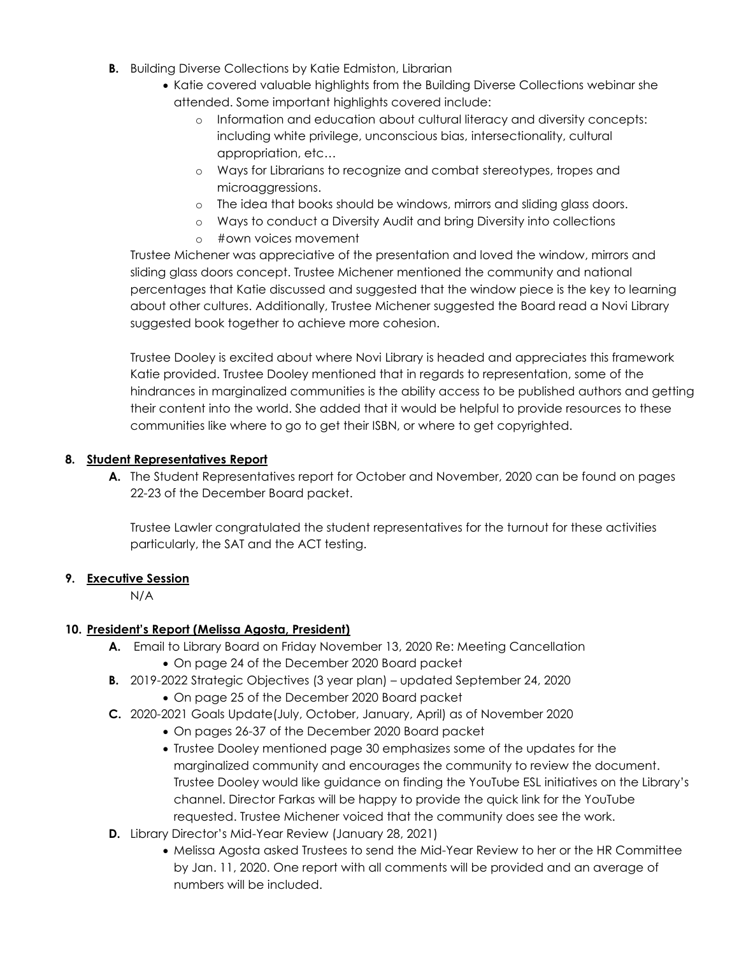- **B.** Building Diverse Collections by Katie Edmiston, Librarian
	- Katie covered valuable highlights from the Building Diverse Collections webinar she attended. Some important highlights covered include:
		- o Information and education about cultural literacy and diversity concepts: including white privilege, unconscious bias, intersectionality, cultural appropriation, etc…
		- o Ways for Librarians to recognize and combat stereotypes, tropes and microaggressions.
		- o The idea that books should be windows, mirrors and sliding glass doors.
		- o Ways to conduct a Diversity Audit and bring Diversity into collections
		- o #own voices movement

Trustee Michener was appreciative of the presentation and loved the window, mirrors and sliding glass doors concept. Trustee Michener mentioned the community and national percentages that Katie discussed and suggested that the window piece is the key to learning about other cultures. Additionally, Trustee Michener suggested the Board read a Novi Library suggested book together to achieve more cohesion.

Trustee Dooley is excited about where Novi Library is headed and appreciates this framework Katie provided. Trustee Dooley mentioned that in regards to representation, some of the hindrances in marginalized communities is the ability access to be published authors and getting their content into the world. She added that it would be helpful to provide resources to these communities like where to go to get their ISBN, or where to get copyrighted.

#### **8. Student Representatives Report**

**A.** The Student Representatives report for October and November, 2020 can be found on pages 22-23 of the December Board packet.

Trustee Lawler congratulated the student representatives for the turnout for these activities particularly, the SAT and the ACT testing.

#### **9. Executive Session**

N/A

#### **10. President's Report (Melissa Agosta, President)**

- **A.** Email to Library Board on Friday November 13, 2020 Re: Meeting Cancellation
	- On page 24 of the December 2020 Board packet
- **B.** 2019-2022 Strategic Objectives (3 year plan) updated September 24, 2020
	- On page 25 of the December 2020 Board packet
- **C.** 2020-2021 Goals Update(July, October, January, April) as of November 2020
	- On pages 26-37 of the December 2020 Board packet
	- Trustee Dooley mentioned page 30 emphasizes some of the updates for the marginalized community and encourages the community to review the document. Trustee Dooley would like guidance on finding the YouTube ESL initiatives on the Library's channel. Director Farkas will be happy to provide the quick link for the YouTube requested. Trustee Michener voiced that the community does see the work.
- **D.** Library Director's Mid-Year Review (January 28, 2021)
	- Melissa Agosta asked Trustees to send the Mid-Year Review to her or the HR Committee by Jan. 11, 2020. One report with all comments will be provided and an average of numbers will be included.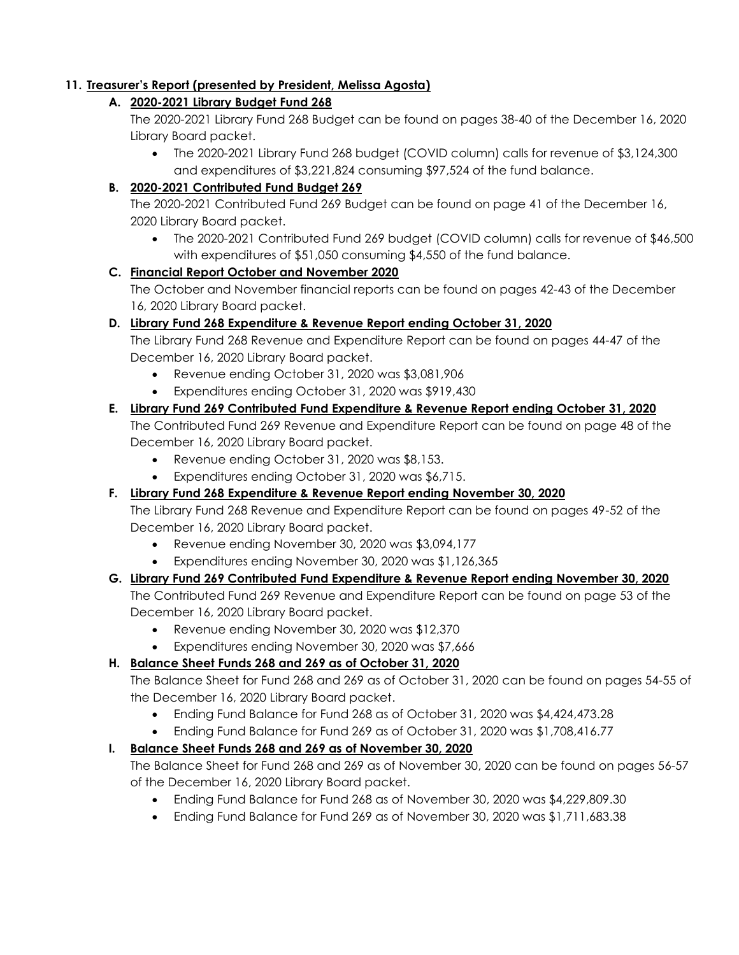# **11. Treasurer's Report (presented by President, Melissa Agosta)**

# **A. 2020-2021 Library Budget Fund 268**

The 2020-2021 Library Fund 268 Budget can be found on pages 38-40 of the December 16, 2020 Library Board packet.

 The 2020-2021 Library Fund 268 budget (COVID column) calls for revenue of \$3,124,300 and expenditures of \$3,221,824 consuming \$97,524 of the fund balance.

# **B. 2020-2021 Contributed Fund Budget 269**

The 2020-2021 Contributed Fund 269 Budget can be found on page 41 of the December 16, 2020 Library Board packet.

 The 2020-2021 Contributed Fund 269 budget (COVID column) calls for revenue of \$46,500 with expenditures of \$51,050 consuming \$4,550 of the fund balance.

# **C. Financial Report October and November 2020**

The October and November financial reports can be found on pages 42-43 of the December 16, 2020 Library Board packet.

# **D. Library Fund 268 Expenditure & Revenue Report ending October 31, 2020**

The Library Fund 268 Revenue and Expenditure Report can be found on pages 44-47 of the December 16, 2020 Library Board packet.

- Revenue ending October 31, 2020 was \$3,081,906
- Expenditures ending October 31, 2020 was \$919,430

# **E. Library Fund 269 Contributed Fund Expenditure & Revenue Report ending October 31, 2020**

The Contributed Fund 269 Revenue and Expenditure Report can be found on page 48 of the December 16, 2020 Library Board packet.

- Revenue ending October 31, 2020 was \$8,153.
- Expenditures ending October 31, 2020 was \$6,715.

# **F. Library Fund 268 Expenditure & Revenue Report ending November 30, 2020**

The Library Fund 268 Revenue and Expenditure Report can be found on pages 49-52 of the December 16, 2020 Library Board packet.

- Revenue ending November 30, 2020 was \$3,094,177
- Expenditures ending November 30, 2020 was \$1,126,365

# **G. Library Fund 269 Contributed Fund Expenditure & Revenue Report ending November 30, 2020**

The Contributed Fund 269 Revenue and Expenditure Report can be found on page 53 of the December 16, 2020 Library Board packet.

- Revenue ending November 30, 2020 was \$12,370
- Expenditures ending November 30, 2020 was \$7,666

# **H. Balance Sheet Funds 268 and 269 as of October 31, 2020**

The Balance Sheet for Fund 268 and 269 as of October 31, 2020 can be found on pages 54-55 of the December 16, 2020 Library Board packet.

- Ending Fund Balance for Fund 268 as of October 31, 2020 was \$4,424,473.28
- Ending Fund Balance for Fund 269 as of October 31, 2020 was \$1,708,416.77

# **I. Balance Sheet Funds 268 and 269 as of November 30, 2020**

The Balance Sheet for Fund 268 and 269 as of November 30, 2020 can be found on pages 56-57 of the December 16, 2020 Library Board packet.

- Ending Fund Balance for Fund 268 as of November 30, 2020 was \$4,229,809.30
- Ending Fund Balance for Fund 269 as of November 30, 2020 was \$1,711,683.38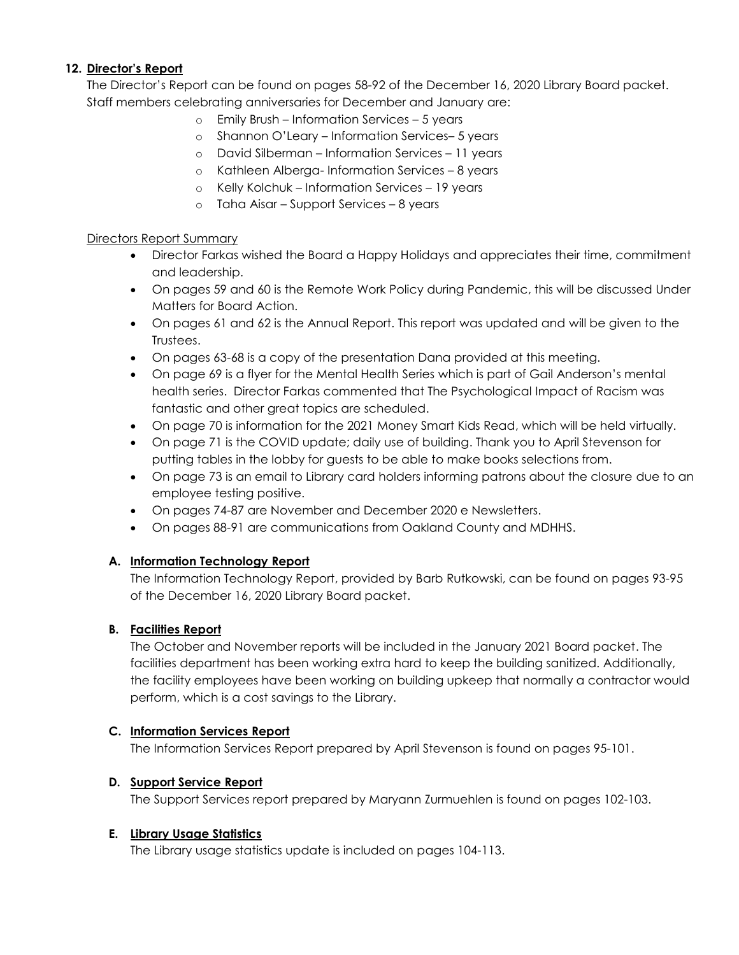#### **12. Director's Report**

The Director's Report can be found on pages 58-92 of the December 16, 2020 Library Board packet. Staff members celebrating anniversaries for December and January are:

- o Emily Brush Information Services 5 years
- o Shannon O'Leary Information Services– 5 years
- o David Silberman Information Services 11 years
- o Kathleen Alberga- Information Services 8 years
- o Kelly Kolchuk Information Services 19 years
- o Taha Aisar Support Services 8 years

#### Directors Report Summary

- Director Farkas wished the Board a Happy Holidays and appreciates their time, commitment and leadership.
- On pages 59 and 60 is the Remote Work Policy during Pandemic, this will be discussed Under Matters for Board Action.
- On pages 61 and 62 is the Annual Report. This report was updated and will be given to the Trustees.
- On pages 63-68 is a copy of the presentation Dana provided at this meeting.
- On page 69 is a flyer for the Mental Health Series which is part of Gail Anderson's mental health series. Director Farkas commented that The Psychological Impact of Racism was fantastic and other great topics are scheduled.
- On page 70 is information for the 2021 Money Smart Kids Read, which will be held virtually.
- On page 71 is the COVID update; daily use of building. Thank you to April Stevenson for putting tables in the lobby for guests to be able to make books selections from.
- On page 73 is an email to Library card holders informing patrons about the closure due to an employee testing positive.
- On pages 74-87 are November and December 2020 e Newsletters.
- On pages 88-91 are communications from Oakland County and MDHHS.

#### **A. Information Technology Report**

The Information Technology Report, provided by Barb Rutkowski, can be found on pages 93-95 of the December 16, 2020 Library Board packet.

#### **B. Facilities Report**

The October and November reports will be included in the January 2021 Board packet. The facilities department has been working extra hard to keep the building sanitized. Additionally, the facility employees have been working on building upkeep that normally a contractor would perform, which is a cost savings to the Library.

#### **C. Information Services Report**

The Information Services Report prepared by April Stevenson is found on pages 95-101.

#### **D. Support Service Report**

The Support Services report prepared by Maryann Zurmuehlen is found on pages 102-103.

#### **E. Library Usage Statistics**

The Library usage statistics update is included on pages 104-113.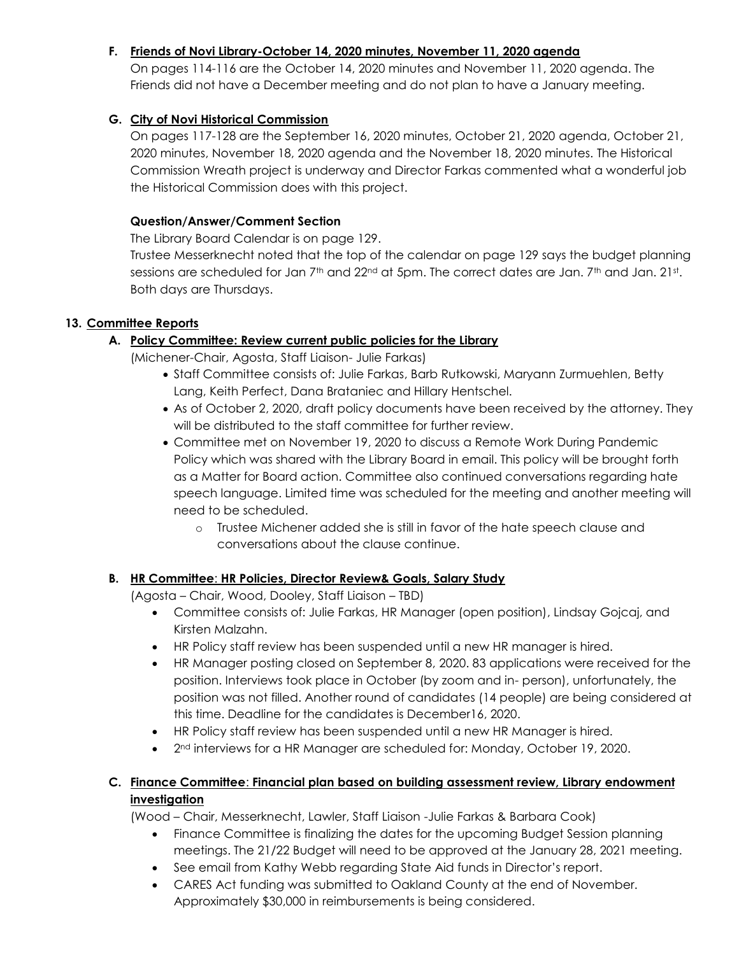## **F. Friends of Novi Library-October 14, 2020 minutes, November 11, 2020 agenda**

On pages 114-116 are the October 14, 2020 minutes and November 11, 2020 agenda. The Friends did not have a December meeting and do not plan to have a January meeting.

# **G. City of Novi Historical Commission**

On pages 117-128 are the September 16, 2020 minutes, October 21, 2020 agenda, October 21, 2020 minutes, November 18, 2020 agenda and the November 18, 2020 minutes. The Historical Commission Wreath project is underway and Director Farkas commented what a wonderful job the Historical Commission does with this project.

#### **Question/Answer/Comment Section**

The Library Board Calendar is on page 129.

Trustee Messerknecht noted that the top of the calendar on page 129 says the budget planning sessions are scheduled for Jan 7th and 22nd at 5pm. The correct dates are Jan. 7th and Jan. 21st. Both days are Thursdays.

## **13. Committee Reports**

# **A. Policy Committee: Review current public policies for the Library**

(Michener-Chair, Agosta, Staff Liaison- Julie Farkas)

- Staff Committee consists of: Julie Farkas, Barb Rutkowski, Maryann Zurmuehlen, Betty Lang, Keith Perfect, Dana Brataniec and Hillary Hentschel.
- As of October 2, 2020, draft policy documents have been received by the attorney. They will be distributed to the staff committee for further review.
- Committee met on November 19, 2020 to discuss a Remote Work During Pandemic Policy which was shared with the Library Board in email. This policy will be brought forth as a Matter for Board action. Committee also continued conversations regarding hate speech language. Limited time was scheduled for the meeting and another meeting will need to be scheduled.
	- o Trustee Michener added she is still in favor of the hate speech clause and conversations about the clause continue.

# **B. HR Committee**: **HR Policies, Director Review& Goals, Salary Study**

(Agosta – Chair, Wood, Dooley, Staff Liaison – TBD)

- Committee consists of: Julie Farkas, HR Manager (open position), Lindsay Gojcaj, and Kirsten Malzahn.
- HR Policy staff review has been suspended until a new HR manager is hired.
- HR Manager posting closed on September 8, 2020. 83 applications were received for the position. Interviews took place in October (by zoom and in- person), unfortunately, the position was not filled. Another round of candidates (14 people) are being considered at this time. Deadline for the candidates is December16, 2020.
- HR Policy staff review has been suspended until a new HR Manager is hired.
- 2<sup>nd</sup> interviews for a HR Manager are scheduled for: Monday, October 19, 2020.

# **C. Finance Committee**: **Financial plan based on building assessment review, Library endowment investigation**

(Wood – Chair, Messerknecht, Lawler, Staff Liaison -Julie Farkas & Barbara Cook)

- Finance Committee is finalizing the dates for the upcoming Budget Session planning meetings. The 21/22 Budget will need to be approved at the January 28, 2021 meeting.
- See email from Kathy Webb regarding State Aid funds in Director's report.
- CARES Act funding was submitted to Oakland County at the end of November. Approximately \$30,000 in reimbursements is being considered.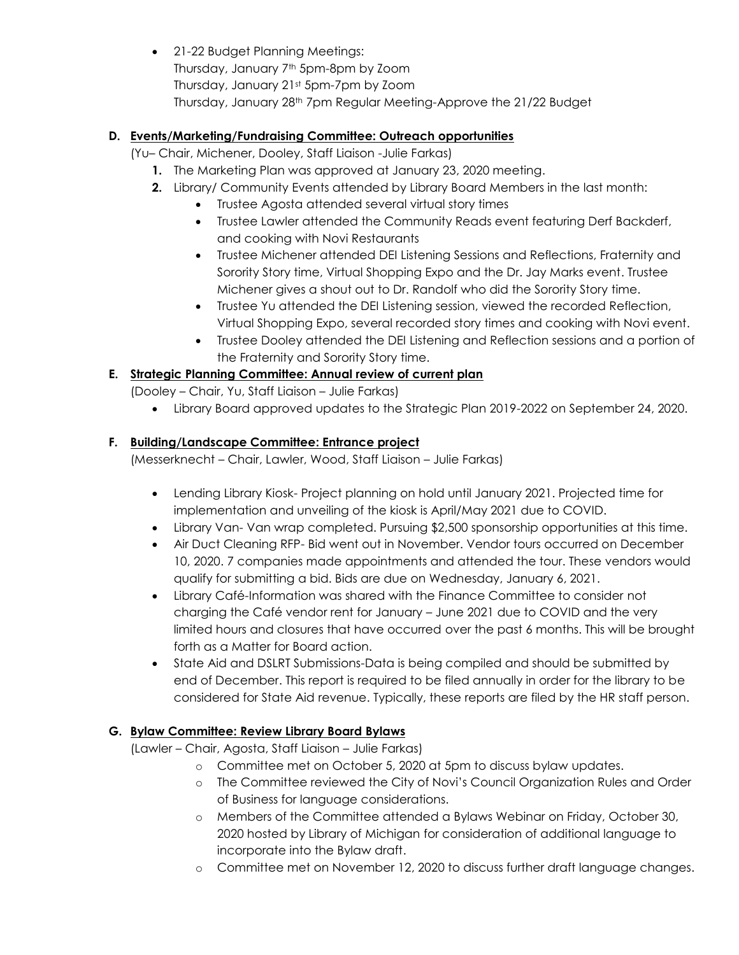• 21-22 Budget Planning Meetings: Thursday, January 7th 5pm-8pm by Zoom Thursday, January 21st 5pm-7pm by Zoom Thursday, January 28th 7pm Regular Meeting-Approve the 21/22 Budget

# **D. Events/Marketing/Fundraising Committee: Outreach opportunities**

- (Yu– Chair, Michener, Dooley, Staff Liaison -Julie Farkas)
	- **1.** The Marketing Plan was approved at January 23, 2020 meeting.
	- **2.** Library/ Community Events attended by Library Board Members in the last month:
		- Trustee Agosta attended several virtual story times
		- Trustee Lawler attended the Community Reads event featuring Derf Backderf, and cooking with Novi Restaurants
		- Trustee Michener attended DEI Listening Sessions and Reflections, Fraternity and Sorority Story time, Virtual Shopping Expo and the Dr. Jay Marks event. Trustee Michener gives a shout out to Dr. Randolf who did the Sorority Story time.
		- Trustee Yu attended the DEI Listening session, viewed the recorded Reflection, Virtual Shopping Expo, several recorded story times and cooking with Novi event.
		- Trustee Dooley attended the DEI Listening and Reflection sessions and a portion of the Fraternity and Sorority Story time.

# **E. Strategic Planning Committee: Annual review of current plan**

- (Dooley Chair, Yu, Staff Liaison Julie Farkas)
	- Library Board approved updates to the Strategic Plan 2019-2022 on September 24, 2020.

# **F. Building/Landscape Committee: Entrance project**

(Messerknecht – Chair, Lawler, Wood, Staff Liaison – Julie Farkas)

- Lending Library Kiosk- Project planning on hold until January 2021. Projected time for implementation and unveiling of the kiosk is April/May 2021 due to COVID.
- Library Van- Van wrap completed. Pursuing \$2,500 sponsorship opportunities at this time.
- Air Duct Cleaning RFP- Bid went out in November. Vendor tours occurred on December 10, 2020. 7 companies made appointments and attended the tour. These vendors would qualify for submitting a bid. Bids are due on Wednesday, January 6, 2021.
- Library Café-Information was shared with the Finance Committee to consider not charging the Café vendor rent for January – June 2021 due to COVID and the very limited hours and closures that have occurred over the past 6 months. This will be brought forth as a Matter for Board action.
- State Aid and DSLRT Submissions-Data is being compiled and should be submitted by end of December. This report is required to be filed annually in order for the library to be considered for State Aid revenue. Typically, these reports are filed by the HR staff person.

# **G. Bylaw Committee: Review Library Board Bylaws**

(Lawler – Chair, Agosta, Staff Liaison – Julie Farkas)

- o Committee met on October 5, 2020 at 5pm to discuss bylaw updates.
- o The Committee reviewed the City of Novi's Council Organization Rules and Order of Business for language considerations.
- o Members of the Committee attended a Bylaws Webinar on Friday, October 30, 2020 hosted by Library of Michigan for consideration of additional language to incorporate into the Bylaw draft.
- o Committee met on November 12, 2020 to discuss further draft language changes.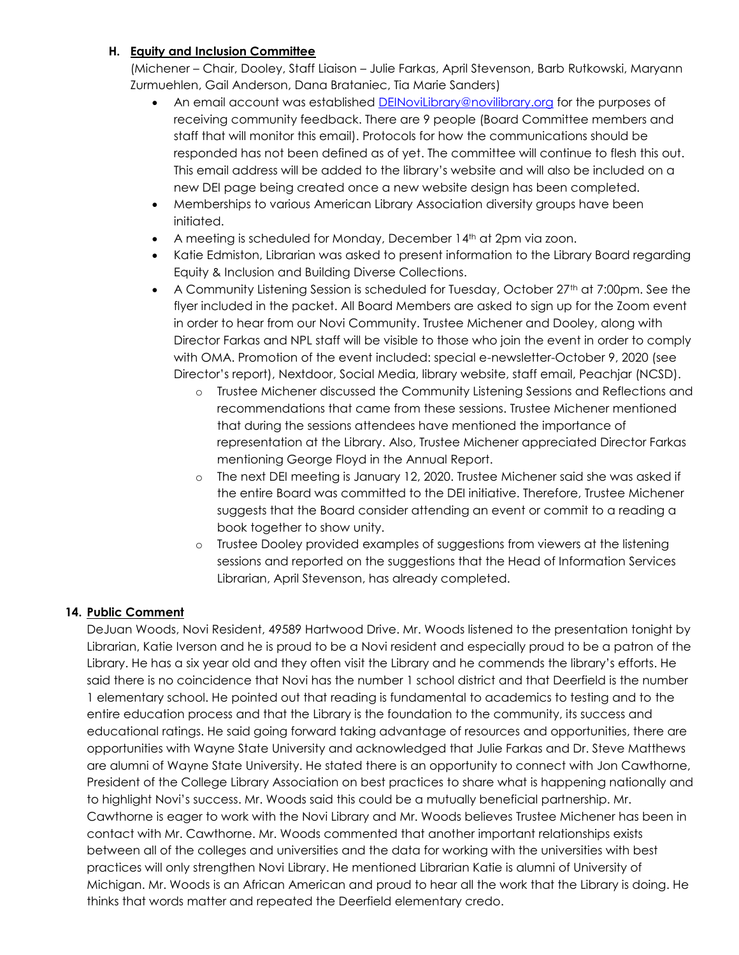#### **H. Equity and Inclusion Committee**

(Michener – Chair, Dooley, Staff Liaison – Julie Farkas, April Stevenson, Barb Rutkowski, Maryann Zurmuehlen, Gail Anderson, Dana Brataniec, Tia Marie Sanders)

- An email account was established [DEINoviLibrary@novilibrary.org](mailto:DEINoviLibrary@novilibrary.org) for the purposes of receiving community feedback. There are 9 people (Board Committee members and staff that will monitor this email). Protocols for how the communications should be responded has not been defined as of yet. The committee will continue to flesh this out. This email address will be added to the library's website and will also be included on a new DEI page being created once a new website design has been completed.
- Memberships to various American Library Association diversity groups have been initiated.
- A meeting is scheduled for Monday, December 14<sup>th</sup> at 2pm via zoon.
- Katie Edmiston, Librarian was asked to present information to the Library Board regarding Equity & Inclusion and Building Diverse Collections.
- A Community Listening Session is scheduled for Tuesday, October  $27<sup>th</sup>$  at 7:00pm. See the flyer included in the packet. All Board Members are asked to sign up for the Zoom event in order to hear from our Novi Community. Trustee Michener and Dooley, along with Director Farkas and NPL staff will be visible to those who join the event in order to comply with OMA. Promotion of the event included: special e-newsletter-October 9, 2020 (see Director's report), Nextdoor, Social Media, library website, staff email, Peachjar (NCSD).
	- o Trustee Michener discussed the Community Listening Sessions and Reflections and recommendations that came from these sessions. Trustee Michener mentioned that during the sessions attendees have mentioned the importance of representation at the Library. Also, Trustee Michener appreciated Director Farkas mentioning George Floyd in the Annual Report.
	- o The next DEI meeting is January 12, 2020. Trustee Michener said she was asked if the entire Board was committed to the DEI initiative. Therefore, Trustee Michener suggests that the Board consider attending an event or commit to a reading a book together to show unity.
	- o Trustee Dooley provided examples of suggestions from viewers at the listening sessions and reported on the suggestions that the Head of Information Services Librarian, April Stevenson, has already completed.

# **14. Public Comment**

DeJuan Woods, Novi Resident, 49589 Hartwood Drive. Mr. Woods listened to the presentation tonight by Librarian, Katie Iverson and he is proud to be a Novi resident and especially proud to be a patron of the Library. He has a six year old and they often visit the Library and he commends the library's efforts. He said there is no coincidence that Novi has the number 1 school district and that Deerfield is the number 1 elementary school. He pointed out that reading is fundamental to academics to testing and to the entire education process and that the Library is the foundation to the community, its success and educational ratings. He said going forward taking advantage of resources and opportunities, there are opportunities with Wayne State University and acknowledged that Julie Farkas and Dr. Steve Matthews are alumni of Wayne State University. He stated there is an opportunity to connect with Jon Cawthorne, President of the College Library Association on best practices to share what is happening nationally and to highlight Novi's success. Mr. Woods said this could be a mutually beneficial partnership. Mr. Cawthorne is eager to work with the Novi Library and Mr. Woods believes Trustee Michener has been in contact with Mr. Cawthorne. Mr. Woods commented that another important relationships exists between all of the colleges and universities and the data for working with the universities with best practices will only strengthen Novi Library. He mentioned Librarian Katie is alumni of University of Michigan. Mr. Woods is an African American and proud to hear all the work that the Library is doing. He thinks that words matter and repeated the Deerfield elementary credo.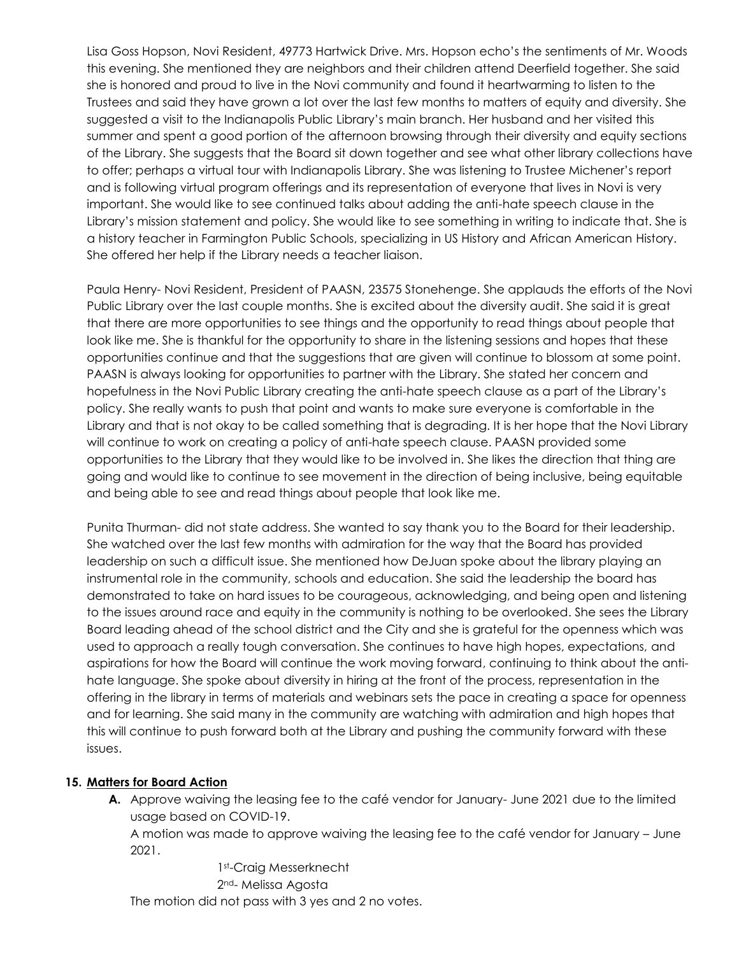Lisa Goss Hopson, Novi Resident, 49773 Hartwick Drive. Mrs. Hopson echo's the sentiments of Mr. Woods this evening. She mentioned they are neighbors and their children attend Deerfield together. She said she is honored and proud to live in the Novi community and found it heartwarming to listen to the Trustees and said they have grown a lot over the last few months to matters of equity and diversity. She suggested a visit to the Indianapolis Public Library's main branch. Her husband and her visited this summer and spent a good portion of the afternoon browsing through their diversity and equity sections of the Library. She suggests that the Board sit down together and see what other library collections have to offer; perhaps a virtual tour with Indianapolis Library. She was listening to Trustee Michener's report and is following virtual program offerings and its representation of everyone that lives in Novi is very important. She would like to see continued talks about adding the anti-hate speech clause in the Library's mission statement and policy. She would like to see something in writing to indicate that. She is a history teacher in Farmington Public Schools, specializing in US History and African American History. She offered her help if the Library needs a teacher liaison.

Paula Henry- Novi Resident, President of PAASN, 23575 Stonehenge. She applauds the efforts of the Novi Public Library over the last couple months. She is excited about the diversity audit. She said it is great that there are more opportunities to see things and the opportunity to read things about people that look like me. She is thankful for the opportunity to share in the listening sessions and hopes that these opportunities continue and that the suggestions that are given will continue to blossom at some point. PAASN is always looking for opportunities to partner with the Library. She stated her concern and hopefulness in the Novi Public Library creating the anti-hate speech clause as a part of the Library's policy. She really wants to push that point and wants to make sure everyone is comfortable in the Library and that is not okay to be called something that is degrading. It is her hope that the Novi Library will continue to work on creating a policy of anti-hate speech clause. PAASN provided some opportunities to the Library that they would like to be involved in. She likes the direction that thing are going and would like to continue to see movement in the direction of being inclusive, being equitable and being able to see and read things about people that look like me.

Punita Thurman- did not state address. She wanted to say thank you to the Board for their leadership. She watched over the last few months with admiration for the way that the Board has provided leadership on such a difficult issue. She mentioned how DeJuan spoke about the library playing an instrumental role in the community, schools and education. She said the leadership the board has demonstrated to take on hard issues to be courageous, acknowledging, and being open and listening to the issues around race and equity in the community is nothing to be overlooked. She sees the Library Board leading ahead of the school district and the City and she is grateful for the openness which was used to approach a really tough conversation. She continues to have high hopes, expectations, and aspirations for how the Board will continue the work moving forward, continuing to think about the antihate language. She spoke about diversity in hiring at the front of the process, representation in the offering in the library in terms of materials and webinars sets the pace in creating a space for openness and for learning. She said many in the community are watching with admiration and high hopes that this will continue to push forward both at the Library and pushing the community forward with these issues.

#### **15. Matters for Board Action**

**A.** Approve waiving the leasing fee to the café vendor for January- June 2021 due to the limited usage based on COVID-19.

A motion was made to approve waiving the leasing fee to the café vendor for January – June 2021.

1st-Craig Messerknecht 2nd- Melissa Agosta The motion did not pass with 3 yes and 2 no votes.